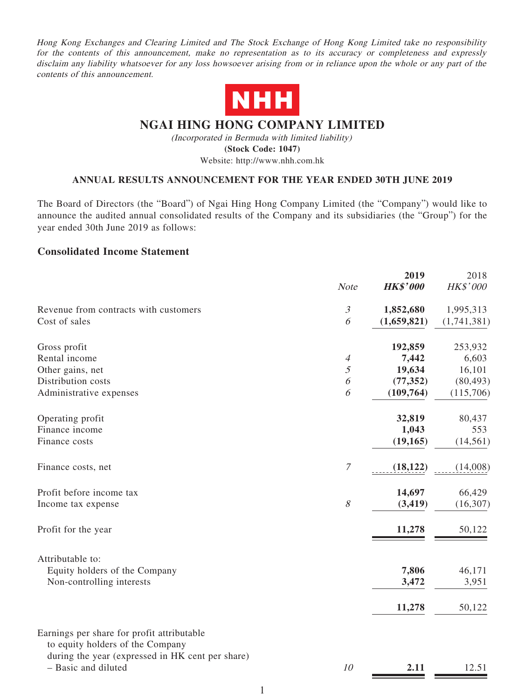Hong Kong Exchanges and Clearing Limited and The Stock Exchange of Hong Kong Limited take no responsibility for the contents of this announcement, make no representation as to its accuracy or completeness and expressly disclaim any liability whatsoever for any loss howsoever arising from or in reliance upon the whole or any part of the contents of this announcement.



# **NGAI HING HONG COMPANY LIMITED**

(Incorporated in Bermuda with limited liability) **(Stock Code: 1047)** Website: http://www.nhh.com.hk

### **ANNUAL RESULTS ANNOUNCEMENT FOR THE YEAR ENDED 30TH JUNE 2019**

The Board of Directors (the "Board") of Ngai Hing Hong Company Limited (the "Company") would like to announce the audited annual consolidated results of the Company and its subsidiaries (the "Group") for the year ended 30th June 2019 as follows:

### **Consolidated Income Statement**

|                                                                                                                                    | <b>Note</b>           | 2019<br><b>HK\$'000</b> | 2018<br>HK\$'000 |
|------------------------------------------------------------------------------------------------------------------------------------|-----------------------|-------------------------|------------------|
| Revenue from contracts with customers                                                                                              | $\mathfrak{Z}$        | 1,852,680               | 1,995,313        |
| Cost of sales                                                                                                                      | 6                     | (1,659,821)             | (1,741,381)      |
| Gross profit                                                                                                                       |                       | 192,859                 | 253,932          |
| Rental income                                                                                                                      | $\overline{A}$        | 7,442                   | 6,603            |
| Other gains, net                                                                                                                   | 5                     | 19,634                  | 16,101           |
| Distribution costs                                                                                                                 | $\boldsymbol{\delta}$ | (77, 352)               | (80, 493)        |
| Administrative expenses                                                                                                            | 6                     | (109, 764)              | (115,706)        |
| Operating profit                                                                                                                   |                       | 32,819                  | 80,437           |
| Finance income                                                                                                                     |                       | 1,043                   | 553              |
| Finance costs                                                                                                                      |                       | (19, 165)               | (14, 561)        |
| Finance costs, net                                                                                                                 | $\overline{7}$        | (18, 122)               | (14,008)         |
| Profit before income tax                                                                                                           |                       | 14,697                  | 66,429           |
| Income tax expense                                                                                                                 | $\mathcal S$          | (3, 419)                | (16, 307)        |
| Profit for the year                                                                                                                |                       | 11,278                  | 50,122           |
| Attributable to:                                                                                                                   |                       |                         |                  |
| Equity holders of the Company                                                                                                      |                       | 7,806                   | 46,171           |
| Non-controlling interests                                                                                                          |                       | 3,472                   | 3,951            |
|                                                                                                                                    |                       | 11,278                  | 50,122           |
| Earnings per share for profit attributable<br>to equity holders of the Company<br>during the year (expressed in HK cent per share) |                       |                         |                  |
| - Basic and diluted                                                                                                                | 10                    | 2.11                    | 12.51            |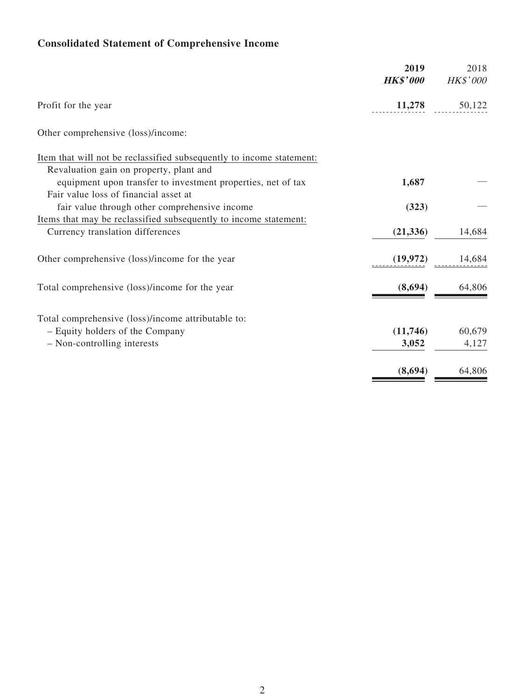# **Consolidated Statement of Comprehensive Income**

|                                                                                                      | 2019<br><b>HK\$'000</b> | 2018<br><b>HK\$'000</b> |
|------------------------------------------------------------------------------------------------------|-------------------------|-------------------------|
| Profit for the year                                                                                  | 11,278                  | 50,122                  |
| Other comprehensive (loss)/income:                                                                   |                         |                         |
| Item that will not be reclassified subsequently to income statement:                                 |                         |                         |
| Revaluation gain on property, plant and                                                              |                         |                         |
| equipment upon transfer to investment properties, net of tax                                         | 1,687                   |                         |
| Fair value loss of financial asset at                                                                |                         |                         |
| fair value through other comprehensive income                                                        | (323)                   |                         |
| Items that may be reclassified subsequently to income statement:<br>Currency translation differences | (21, 336)               | 14,684                  |
| Other comprehensive (loss)/income for the year                                                       | (19,972)                | 14,684                  |
| Total comprehensive (loss)/income for the year                                                       | (8,694)                 | 64,806                  |
| Total comprehensive (loss)/income attributable to:                                                   |                         |                         |
| - Equity holders of the Company                                                                      | (11,746)                | 60,679                  |
| - Non-controlling interests                                                                          | 3,052                   | 4,127                   |
|                                                                                                      | (8,694)                 | 64,806                  |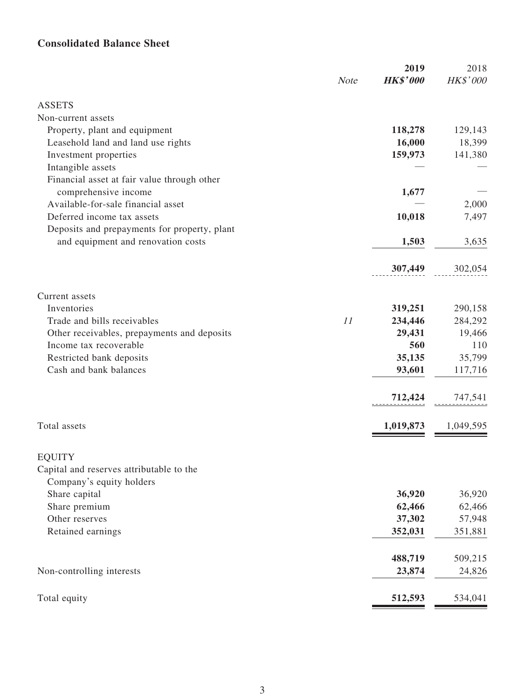# **Consolidated Balance Sheet**

|                                              | <b>Note</b> | 2019<br><b>HK\$'000</b> | 2018<br>HK\$'000 |
|----------------------------------------------|-------------|-------------------------|------------------|
|                                              |             |                         |                  |
| <b>ASSETS</b><br>Non-current assets          |             |                         |                  |
| Property, plant and equipment                |             | 118,278                 | 129,143          |
| Leasehold land and land use rights           |             | 16,000                  | 18,399           |
| Investment properties                        |             | 159,973                 | 141,380          |
| Intangible assets                            |             |                         |                  |
| Financial asset at fair value through other  |             |                         |                  |
| comprehensive income                         |             | 1,677                   |                  |
| Available-for-sale financial asset           |             |                         | 2,000            |
| Deferred income tax assets                   |             | 10,018                  | 7,497            |
| Deposits and prepayments for property, plant |             |                         |                  |
| and equipment and renovation costs           |             | 1,503                   | 3,635            |
|                                              |             |                         |                  |
|                                              |             | 307,449                 | 302,054          |
| Current assets                               |             |                         |                  |
| Inventories                                  |             | 319,251                 | 290,158          |
| Trade and bills receivables                  | 11          | 234,446                 | 284,292          |
| Other receivables, prepayments and deposits  |             | 29,431                  | 19,466           |
| Income tax recoverable                       |             | 560                     | 110              |
| Restricted bank deposits                     |             | 35,135                  | 35,799           |
| Cash and bank balances                       |             | 93,601                  | 117,716          |
|                                              |             | 712,424                 | 747,541          |
| Total assets                                 |             | 1,019,873               | 1,049,595        |
|                                              |             |                         |                  |
| <b>EQUITY</b>                                |             |                         |                  |
| Capital and reserves attributable to the     |             |                         |                  |
| Company's equity holders                     |             |                         |                  |
| Share capital                                |             | 36,920                  | 36,920           |
| Share premium                                |             | 62,466                  | 62,466           |
| Other reserves                               |             | 37,302                  | 57,948           |
| Retained earnings                            |             | 352,031                 | 351,881          |
|                                              |             | 488,719                 | 509,215          |
| Non-controlling interests                    |             | 23,874                  | 24,826           |
| Total equity                                 |             | 512,593                 | 534,041          |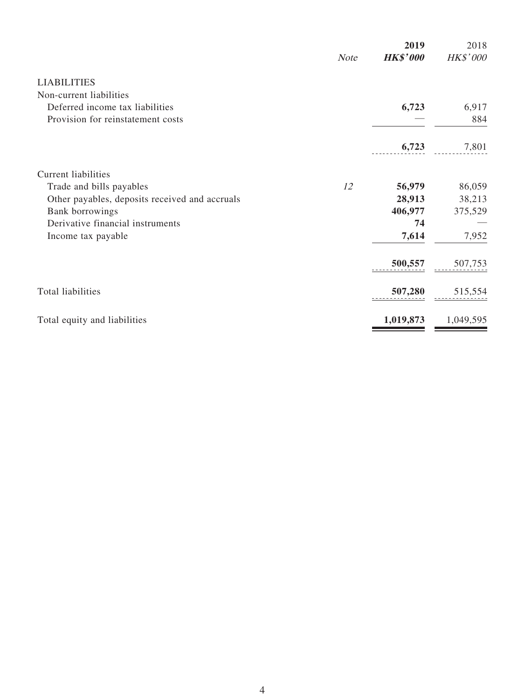|                                                | <b>Note</b> | 2019<br><b>HK\$'000</b> | 2018<br>HK\$'000 |
|------------------------------------------------|-------------|-------------------------|------------------|
| <b>LIABILITIES</b>                             |             |                         |                  |
| Non-current liabilities                        |             |                         |                  |
| Deferred income tax liabilities                |             | 6,723                   | 6,917            |
| Provision for reinstatement costs              |             |                         | 884              |
|                                                |             | 6,723                   | 7,801            |
| <b>Current liabilities</b>                     |             |                         |                  |
| Trade and bills payables                       | 12          | 56,979                  | 86,059           |
| Other payables, deposits received and accruals |             | 28,913                  | 38,213           |
| Bank borrowings                                |             | 406,977                 | 375,529          |
| Derivative financial instruments               |             | 74                      |                  |
| Income tax payable                             |             | 7,614                   | 7,952            |
|                                                |             | 500,557                 | 507,753          |
| Total liabilities                              |             | 507,280                 | 515,554          |
| Total equity and liabilities                   |             | 1,019,873               | 1,049,595        |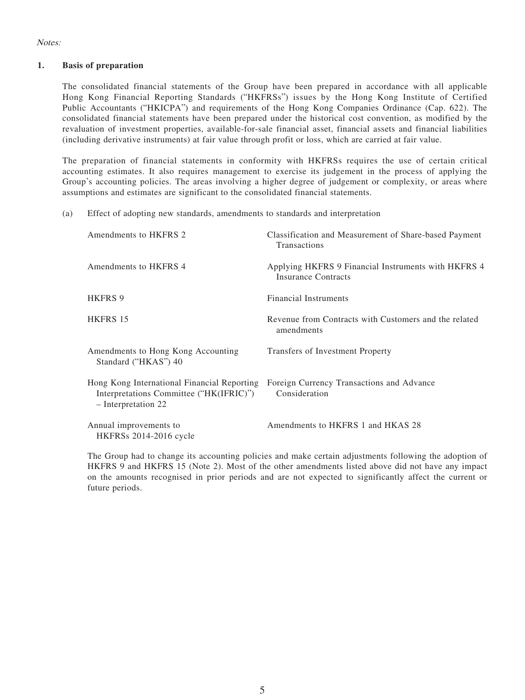### Notes:

### **1. Basis of preparation**

The consolidated financial statements of the Group have been prepared in accordance with all applicable Hong Kong Financial Reporting Standards ("HKFRSs") issues by the Hong Kong Institute of Certified Public Accountants ("HKICPA") and requirements of the Hong Kong Companies Ordinance (Cap. 622). The consolidated financial statements have been prepared under the historical cost convention, as modified by the revaluation of investment properties, available-for-sale financial asset, financial assets and financial liabilities (including derivative instruments) at fair value through profit or loss, which are carried at fair value.

The preparation of financial statements in conformity with HKFRSs requires the use of certain critical accounting estimates. It also requires management to exercise its judgement in the process of applying the Group's accounting policies. The areas involving a higher degree of judgement or complexity, or areas where assumptions and estimates are significant to the consolidated financial statements.

(a) Effect of adopting new standards, amendments to standards and interpretation

| Amendments to HKFRS 2                                                                                         | Classification and Measurement of Share-based Payment<br>Transactions             |
|---------------------------------------------------------------------------------------------------------------|-----------------------------------------------------------------------------------|
| Amendments to HKFRS 4                                                                                         | Applying HKFRS 9 Financial Instruments with HKFRS 4<br><b>Insurance Contracts</b> |
| <b>HKFRS 9</b>                                                                                                | Financial Instruments                                                             |
| HKFRS 15                                                                                                      | Revenue from Contracts with Customers and the related<br>amendments               |
| Amendments to Hong Kong Accounting<br>Standard ("HKAS") 40                                                    | Transfers of Investment Property                                                  |
| Hong Kong International Financial Reporting<br>Interpretations Committee ("HK(IFRIC)")<br>- Interpretation 22 | Foreign Currency Transactions and Advance<br>Consideration                        |
| Annual improvements to<br><b>HKFRSs</b> 2014-2016 cycle                                                       | Amendments to HKFRS 1 and HKAS 28                                                 |

The Group had to change its accounting policies and make certain adjustments following the adoption of HKFRS 9 and HKFRS 15 (Note 2). Most of the other amendments listed above did not have any impact on the amounts recognised in prior periods and are not expected to significantly affect the current or future periods.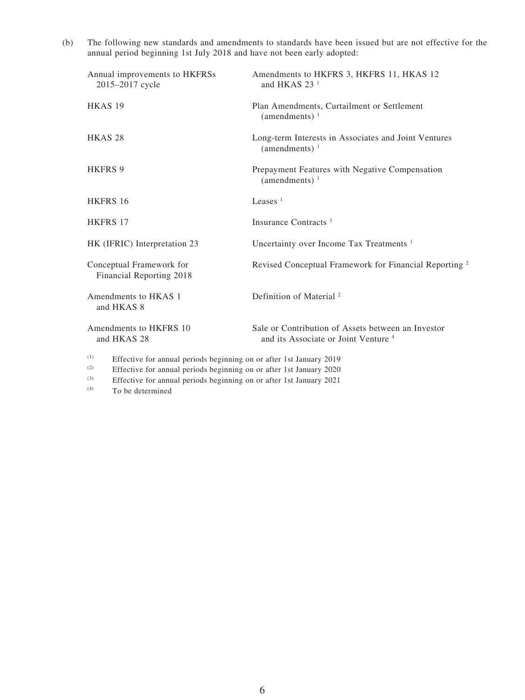(b) The following new standards and amendments to standards have been issued but are not effective for the annual period beginning 1st July 2018 and have not been early adopted:

| Annual improvements to HKFRSs<br>2015-2017 cycle                                                                                                         | Amendments to HKFRS 3, HKFRS 11, HKAS 12<br>and HKAS $231$                                            |
|----------------------------------------------------------------------------------------------------------------------------------------------------------|-------------------------------------------------------------------------------------------------------|
| HKAS <sub>19</sub>                                                                                                                                       | Plan Amendments, Curtailment or Settlement<br>(amendments) $1$                                        |
| HKAS <sub>28</sub>                                                                                                                                       | Long-term Interests in Associates and Joint Ventures<br>(amendments) $1$                              |
| <b>HKFRS 9</b>                                                                                                                                           | Prepayment Features with Negative Compensation<br>(amendments) $1$                                    |
| <b>HKFRS 16</b>                                                                                                                                          | Leases $1$                                                                                            |
| <b>HKFRS 17</b>                                                                                                                                          | Insurance Contracts <sup>3</sup>                                                                      |
| HK (IFRIC) Interpretation 23                                                                                                                             | Uncertainty over Income Tax Treatments <sup>1</sup>                                                   |
| Conceptual Framework for<br>Financial Reporting 2018                                                                                                     | Revised Conceptual Framework for Financial Reporting <sup>2</sup>                                     |
| Amendments to HKAS 1<br>and HKAS 8                                                                                                                       | Definition of Material <sup>2</sup>                                                                   |
| Amendments to HKFRS 10<br>and HKAS 28                                                                                                                    | Sale or Contribution of Assets between an Investor<br>and its Associate or Joint Venture <sup>4</sup> |
| (1)<br>Effective for annual periods beginning on or after 1st January 2019<br>(2)<br>Effective for annual periods beginning on or after 1st January 2020 |                                                                                                       |

(3) Effective for annual periods beginning on or after 1st January 2021

(4) To be determined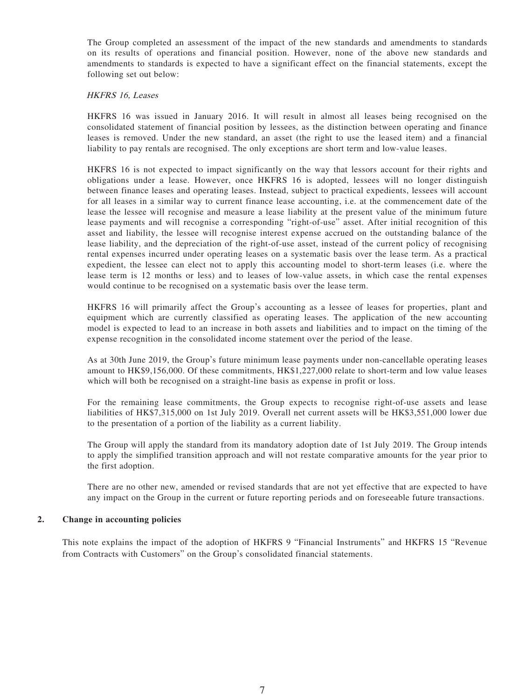The Group completed an assessment of the impact of the new standards and amendments to standards on its results of operations and financial position. However, none of the above new standards and amendments to standards is expected to have a significant effect on the financial statements, except the following set out below:

#### HKFRS 16, Leases

HKFRS 16 was issued in January 2016. It will result in almost all leases being recognised on the consolidated statement of financial position by lessees, as the distinction between operating and finance leases is removed. Under the new standard, an asset (the right to use the leased item) and a financial liability to pay rentals are recognised. The only exceptions are short term and low-value leases.

HKFRS 16 is not expected to impact significantly on the way that lessors account for their rights and obligations under a lease. However, once HKFRS 16 is adopted, lessees will no longer distinguish between finance leases and operating leases. Instead, subject to practical expedients, lessees will account for all leases in a similar way to current finance lease accounting, i.e. at the commencement date of the lease the lessee will recognise and measure a lease liability at the present value of the minimum future lease payments and will recognise a corresponding "right-of-use" asset. After initial recognition of this asset and liability, the lessee will recognise interest expense accrued on the outstanding balance of the lease liability, and the depreciation of the right-of-use asset, instead of the current policy of recognising rental expenses incurred under operating leases on a systematic basis over the lease term. As a practical expedient, the lessee can elect not to apply this accounting model to short-term leases (i.e. where the lease term is 12 months or less) and to leases of low-value assets, in which case the rental expenses would continue to be recognised on a systematic basis over the lease term.

HKFRS 16 will primarily affect the Group's accounting as a lessee of leases for properties, plant and equipment which are currently classified as operating leases. The application of the new accounting model is expected to lead to an increase in both assets and liabilities and to impact on the timing of the expense recognition in the consolidated income statement over the period of the lease.

As at 30th June 2019, the Group's future minimum lease payments under non-cancellable operating leases amount to HK\$9,156,000. Of these commitments, HK\$1,227,000 relate to short-term and low value leases which will both be recognised on a straight-line basis as expense in profit or loss.

For the remaining lease commitments, the Group expects to recognise right-of-use assets and lease liabilities of HK\$7,315,000 on 1st July 2019. Overall net current assets will be HK\$3,551,000 lower due to the presentation of a portion of the liability as a current liability.

The Group will apply the standard from its mandatory adoption date of 1st July 2019. The Group intends to apply the simplified transition approach and will not restate comparative amounts for the year prior to the first adoption.

There are no other new, amended or revised standards that are not yet effective that are expected to have any impact on the Group in the current or future reporting periods and on foreseeable future transactions.

#### **2. Change in accounting policies**

This note explains the impact of the adoption of HKFRS 9 "Financial Instruments" and HKFRS 15 "Revenue from Contracts with Customers" on the Group's consolidated financial statements.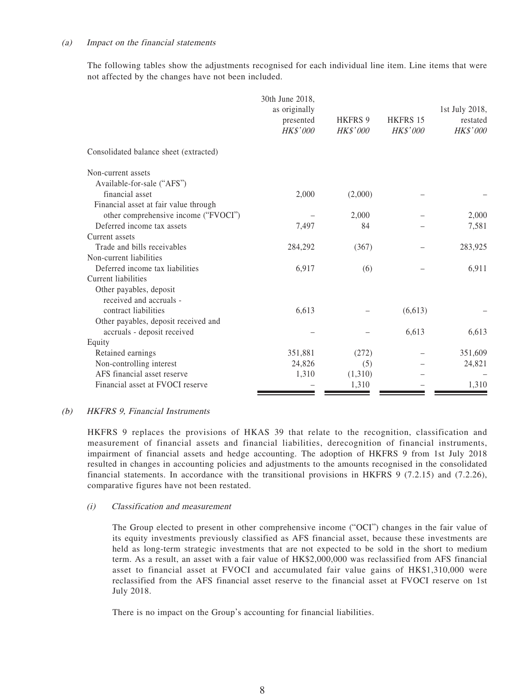#### (a) Impact on the financial statements

The following tables show the adjustments recognised for each individual line item. Line items that were not affected by the changes have not been included.

|                                                                               | 30th June 2018,<br>as originally<br>presented<br><b>HK\$'000</b> | <b>HKFRS 9</b><br><b>HK\$'000</b> | <b>HKFRS 15</b><br><b>HK\$'000</b> | 1st July 2018,<br>restated<br><b>HK\$'000</b> |
|-------------------------------------------------------------------------------|------------------------------------------------------------------|-----------------------------------|------------------------------------|-----------------------------------------------|
| Consolidated balance sheet (extracted)                                        |                                                                  |                                   |                                    |                                               |
| Non-current assets<br>Available-for-sale ("AFS")                              |                                                                  |                                   |                                    |                                               |
| financial asset                                                               | 2,000                                                            | (2,000)                           |                                    |                                               |
| Financial asset at fair value through<br>other comprehensive income ("FVOCI") |                                                                  | 2,000                             |                                    | 2,000                                         |
| Deferred income tax assets                                                    | 7,497                                                            | 84                                |                                    | 7,581                                         |
| Current assets                                                                |                                                                  |                                   |                                    |                                               |
| Trade and bills receivables                                                   | 284,292                                                          | (367)                             |                                    | 283,925                                       |
| Non-current liabilities                                                       |                                                                  |                                   |                                    |                                               |
| Deferred income tax liabilities                                               | 6,917                                                            | (6)                               |                                    | 6,911                                         |
| Current liabilities                                                           |                                                                  |                                   |                                    |                                               |
| Other payables, deposit<br>received and accruals -                            |                                                                  |                                   |                                    |                                               |
| contract liabilities                                                          | 6,613                                                            |                                   | (6,613)                            |                                               |
| Other payables, deposit received and<br>accruals - deposit received           |                                                                  |                                   | 6,613                              | 6,613                                         |
| Equity                                                                        |                                                                  |                                   |                                    |                                               |
| Retained earnings                                                             | 351,881                                                          | (272)                             |                                    | 351,609                                       |
| Non-controlling interest                                                      | 24,826                                                           | (5)                               |                                    | 24,821                                        |
| AFS financial asset reserve                                                   | 1,310                                                            | (1,310)                           |                                    |                                               |
| Financial asset at FVOCI reserve                                              |                                                                  | 1,310                             |                                    | 1,310                                         |

### (b) HKFRS 9, Financial Instruments

HKFRS 9 replaces the provisions of HKAS 39 that relate to the recognition, classification and measurement of financial assets and financial liabilities, derecognition of financial instruments, impairment of financial assets and hedge accounting. The adoption of HKFRS 9 from 1st July 2018 resulted in changes in accounting policies and adjustments to the amounts recognised in the consolidated financial statements. In accordance with the transitional provisions in HKFRS 9 (7.2.15) and (7.2.26), comparative figures have not been restated.

### (i) Classification and measurement

The Group elected to present in other comprehensive income ("OCI") changes in the fair value of its equity investments previously classified as AFS financial asset, because these investments are held as long-term strategic investments that are not expected to be sold in the short to medium term. As a result, an asset with a fair value of HK\$2,000,000 was reclassified from AFS financial asset to financial asset at FVOCI and accumulated fair value gains of HK\$1,310,000 were reclassified from the AFS financial asset reserve to the financial asset at FVOCI reserve on 1st July 2018.

There is no impact on the Group's accounting for financial liabilities.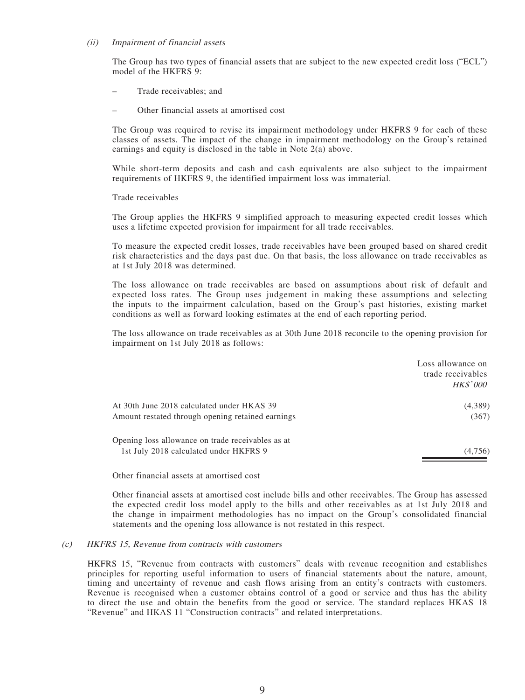#### (ii) Impairment of financial assets

The Group has two types of financial assets that are subject to the new expected credit loss ("ECL") model of the HKFRS 9:

- Trade receivables; and
- Other financial assets at amortised cost

The Group was required to revise its impairment methodology under HKFRS 9 for each of these classes of assets. The impact of the change in impairment methodology on the Group's retained earnings and equity is disclosed in the table in Note 2(a) above.

While short-term deposits and cash and cash equivalents are also subject to the impairment requirements of HKFRS 9, the identified impairment loss was immaterial.

Trade receivables

The Group applies the HKFRS 9 simplified approach to measuring expected credit losses which uses a lifetime expected provision for impairment for all trade receivables.

To measure the expected credit losses, trade receivables have been grouped based on shared credit risk characteristics and the days past due. On that basis, the loss allowance on trade receivables as at 1st July 2018 was determined.

The loss allowance on trade receivables are based on assumptions about risk of default and expected loss rates. The Group uses judgement in making these assumptions and selecting the inputs to the impairment calculation, based on the Group's past histories, existing market conditions as well as forward looking estimates at the end of each reporting period.

The loss allowance on trade receivables as at 30th June 2018 reconcile to the opening provision for impairment on 1st July 2018 as follows:

| Loss allowance on<br>trade receivables<br><i>HK\$'000</i> |
|-----------------------------------------------------------|
| (4,389)<br>(367)                                          |
| (4,756)                                                   |
|                                                           |

Other financial assets at amortised cost

Other financial assets at amortised cost include bills and other receivables. The Group has assessed the expected credit loss model apply to the bills and other receivables as at 1st July 2018 and the change in impairment methodologies has no impact on the Group's consolidated financial statements and the opening loss allowance is not restated in this respect.

#### (c) HKFRS 15, Revenue from contracts with customers

HKFRS 15, "Revenue from contracts with customers" deals with revenue recognition and establishes principles for reporting useful information to users of financial statements about the nature, amount, timing and uncertainty of revenue and cash flows arising from an entity's contracts with customers. Revenue is recognised when a customer obtains control of a good or service and thus has the ability to direct the use and obtain the benefits from the good or service. The standard replaces HKAS 18 "Revenue" and HKAS 11 "Construction contracts" and related interpretations.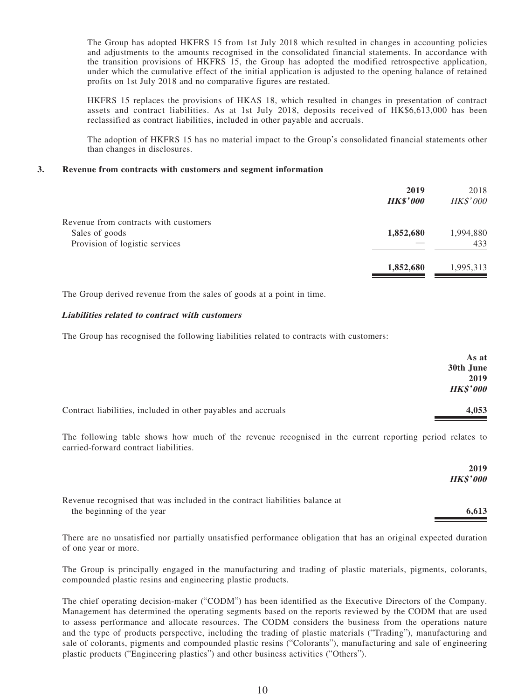The Group has adopted HKFRS 15 from 1st July 2018 which resulted in changes in accounting policies and adjustments to the amounts recognised in the consolidated financial statements. In accordance with the transition provisions of HKFRS 15, the Group has adopted the modified retrospective application, under which the cumulative effect of the initial application is adjusted to the opening balance of retained profits on 1st July 2018 and no comparative figures are restated.

HKFRS 15 replaces the provisions of HKAS 18, which resulted in changes in presentation of contract assets and contract liabilities. As at 1st July 2018, deposits received of HK\$6,613,000 has been reclassified as contract liabilities, included in other payable and accruals.

The adoption of HKFRS 15 has no material impact to the Group's consolidated financial statements other than changes in disclosures.

#### **3. Revenue from contracts with customers and segment information**

|                                                  | 2019<br><b>HK\$'000</b> | 2018<br><b>HK\$'000</b> |
|--------------------------------------------------|-------------------------|-------------------------|
| Revenue from contracts with customers            |                         |                         |
| Sales of goods<br>Provision of logistic services | 1,852,680               | 1,994,880<br>433        |
|                                                  |                         |                         |
|                                                  | 1,852,680               | 1,995,313               |

The Group derived revenue from the sales of goods at a point in time.

### **Liabilities related to contract with customers**

The Group has recognised the following liabilities related to contracts with customers:

|                                                               | As at<br>30th June<br>2019<br><b>HK\$'000</b> |
|---------------------------------------------------------------|-----------------------------------------------|
| Contract liabilities, included in other payables and accruals | 4,053                                         |

The following table shows how much of the revenue recognised in the current reporting period relates to carried-forward contract liabilities.

|                                                                                                          | 2019<br><b>HK\$'000</b> |
|----------------------------------------------------------------------------------------------------------|-------------------------|
| Revenue recognised that was included in the contract liabilities balance at<br>the beginning of the year | 6.613                   |

There are no unsatisfied nor partially unsatisfied performance obligation that has an original expected duration of one year or more.

The Group is principally engaged in the manufacturing and trading of plastic materials, pigments, colorants, compounded plastic resins and engineering plastic products.

The chief operating decision-maker ("CODM") has been identified as the Executive Directors of the Company. Management has determined the operating segments based on the reports reviewed by the CODM that are used to assess performance and allocate resources. The CODM considers the business from the operations nature and the type of products perspective, including the trading of plastic materials ("Trading"), manufacturing and sale of colorants, pigments and compounded plastic resins ("Colorants"), manufacturing and sale of engineering plastic products ("Engineering plastics") and other business activities ("Others").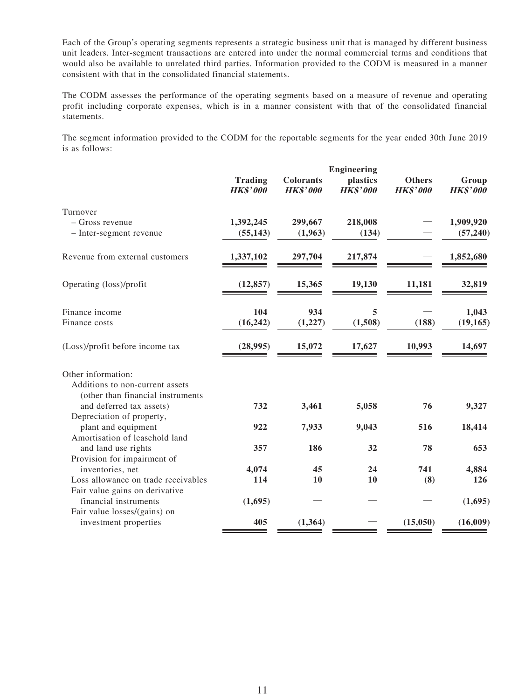Each of the Group's operating segments represents a strategic business unit that is managed by different business unit leaders. Inter-segment transactions are entered into under the normal commercial terms and conditions that would also be available to unrelated third parties. Information provided to the CODM is measured in a manner consistent with that in the consolidated financial statements.

The CODM assesses the performance of the operating segments based on a measure of revenue and operating profit including corporate expenses, which is in a manner consistent with that of the consolidated financial statements.

The segment information provided to the CODM for the reportable segments for the year ended 30th June 2019 is as follows:

|                                                         | <b>Engineering</b>                |                                     |                             |                                  |                          |
|---------------------------------------------------------|-----------------------------------|-------------------------------------|-----------------------------|----------------------------------|--------------------------|
|                                                         | <b>Trading</b><br><b>HK\$'000</b> | <b>Colorants</b><br><b>HK\$'000</b> | plastics<br><b>HK\$'000</b> | <b>Others</b><br><b>HK\$'000</b> | Group<br><b>HK\$'000</b> |
| Turnover                                                |                                   |                                     |                             |                                  |                          |
| - Gross revenue                                         | 1,392,245                         | 299,667                             | 218,008                     |                                  | 1,909,920                |
| - Inter-segment revenue                                 | (55, 143)                         | (1,963)                             | (134)                       |                                  | (57, 240)                |
| Revenue from external customers                         | 1,337,102                         | 297,704                             | 217,874                     |                                  | 1,852,680                |
| Operating (loss)/profit                                 | (12, 857)                         | 15,365                              | 19,130                      | 11,181                           | 32,819                   |
| Finance income                                          | 104                               | 934                                 | 5                           |                                  | 1,043                    |
| Finance costs                                           | (16, 242)                         | (1,227)                             | (1,508)                     | (188)                            | (19, 165)                |
| (Loss)/profit before income tax                         | (28,995)                          | 15,072                              | 17,627                      | 10,993                           | 14,697                   |
| Other information:                                      |                                   |                                     |                             |                                  |                          |
| Additions to non-current assets                         |                                   |                                     |                             |                                  |                          |
| (other than financial instruments                       |                                   |                                     |                             |                                  |                          |
| and deferred tax assets)                                | 732                               | 3,461                               | 5,058                       | 76                               | 9,327                    |
| Depreciation of property,                               |                                   |                                     |                             |                                  |                          |
| plant and equipment                                     | 922                               | 7,933                               | 9,043                       | 516                              | 18,414                   |
| Amortisation of leasehold land                          |                                   |                                     |                             |                                  |                          |
| and land use rights                                     | 357                               | 186                                 | 32                          | 78                               | 653                      |
| Provision for impairment of                             |                                   |                                     |                             |                                  |                          |
| inventories, net                                        | 4,074                             | 45                                  | 24                          | 741                              | 4,884                    |
| Loss allowance on trade receivables                     | 114                               | 10                                  | 10                          | (8)                              | 126                      |
| Fair value gains on derivative<br>financial instruments | (1,695)                           |                                     |                             |                                  | (1,695)                  |
| Fair value losses/(gains) on                            |                                   |                                     |                             |                                  |                          |
| investment properties                                   | 405                               | (1, 364)                            |                             | (15,050)                         | (16,009)                 |
|                                                         |                                   |                                     |                             |                                  |                          |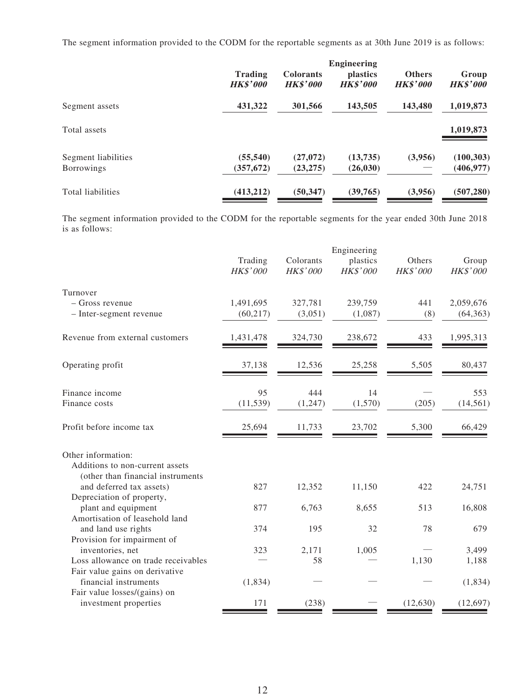The segment information provided to the CODM for the reportable segments as at 30th June 2019 is as follows:

|                                          | <b>Engineering</b>                |                                     |                                    |                                  |                          |
|------------------------------------------|-----------------------------------|-------------------------------------|------------------------------------|----------------------------------|--------------------------|
|                                          | <b>Trading</b><br><b>HK\$'000</b> | <b>Colorants</b><br><b>HK\$'000</b> | <i>plastics</i><br><b>HK\$'000</b> | <b>Others</b><br><b>HK\$'000</b> | Group<br><b>HK\$'000</b> |
| Segment assets                           | 431,322                           | 301,566                             | 143,505                            | 143,480                          | 1,019,873                |
| Total assets                             |                                   |                                     |                                    |                                  | 1,019,873                |
| Segment liabilities<br><b>Borrowings</b> | (55, 540)<br>(357, 672)           | (27,072)<br>(23, 275)               | (13,735)<br>(26, 030)              | (3,956)                          | (100, 303)<br>(406, 977) |
| <b>Total liabilities</b>                 | (413, 212)                        | (50, 347)                           | (39,765)                           | (3,956)                          | (507, 280)               |

The segment information provided to the CODM for the reportable segments for the year ended 30th June 2018 is as follows:

|                                                               |                     |                       | Engineering          |                    |                   |
|---------------------------------------------------------------|---------------------|-----------------------|----------------------|--------------------|-------------------|
|                                                               | Trading<br>HK\$'000 | Colorants<br>HK\$'000 | plastics<br>HK\$'000 | Others<br>HK\$'000 | Group<br>HK\$'000 |
| Turnover                                                      |                     |                       |                      |                    |                   |
| - Gross revenue                                               | 1,491,695           | 327,781               | 239,759              | 441                | 2,059,676         |
| - Inter-segment revenue                                       | (60, 217)           | (3,051)               | (1,087)              | (8)                | (64, 363)         |
| Revenue from external customers                               | 1,431,478           | 324,730               | 238,672              | 433                | 1,995,313         |
| Operating profit                                              | 37,138              | 12,536                | 25,258               | 5,505              | 80,437            |
| Finance income                                                | 95                  | 444                   | 14                   |                    | 553               |
| Finance costs                                                 | (11, 539)           | (1, 247)              | (1,570)              | (205)              | (14, 561)         |
| Profit before income tax                                      | 25,694              | 11,733                | 23,702               | 5,300              | 66,429            |
| Other information:                                            |                     |                       |                      |                    |                   |
| Additions to non-current assets                               |                     |                       |                      |                    |                   |
| (other than financial instruments<br>and deferred tax assets) | 827                 | 12,352                | 11,150               | 422                | 24,751            |
| Depreciation of property,                                     |                     |                       |                      |                    |                   |
| plant and equipment                                           | 877                 | 6,763                 | 8,655                | 513                | 16,808            |
| Amortisation of leasehold land                                |                     |                       |                      |                    |                   |
| and land use rights                                           | 374                 | 195                   | 32                   | 78                 | 679               |
| Provision for impairment of                                   |                     |                       |                      |                    |                   |
| inventories, net                                              | 323                 | 2,171                 | 1,005                |                    | 3,499             |
| Loss allowance on trade receivables                           |                     | 58                    |                      | 1,130              | 1,188             |
| Fair value gains on derivative                                |                     |                       |                      |                    |                   |
| financial instruments                                         | (1, 834)            |                       |                      |                    | (1, 834)          |
| Fair value losses/(gains) on                                  |                     |                       |                      |                    |                   |
| investment properties                                         | 171                 | (238)                 |                      | (12, 630)          | (12, 697)         |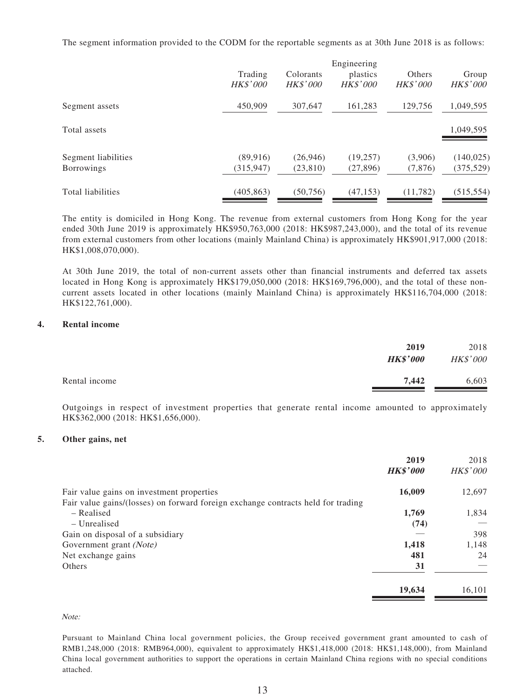The segment information provided to the CODM for the reportable segments as at 30th June 2018 is as follows:

|                     |                 |                 | Engineering     |                 |                 |
|---------------------|-----------------|-----------------|-----------------|-----------------|-----------------|
|                     | Trading         | Colorants       | plastics        | Others          | Group           |
|                     | <b>HK\$'000</b> | <i>HK\$'000</i> | <i>HK\$'000</i> | <b>HK\$'000</b> | <i>HK\$'000</i> |
| Segment assets      | 450,909         | 307,647         | 161,283         | 129,756         | 1,049,595       |
| Total assets        |                 |                 |                 |                 | 1,049,595       |
| Segment liabilities | (89, 916)       | (26, 946)       | (19,257)        | (3,906)         | (140, 025)      |
| <b>Borrowings</b>   | (315, 947)      | (23, 810)       | (27, 896)       | (7,876)         | (375, 529)      |
| Total liabilities   | (405, 863)      | (50, 756)       | (47, 153)       | (11, 782)       | (515, 554)      |

The entity is domiciled in Hong Kong. The revenue from external customers from Hong Kong for the year ended 30th June 2019 is approximately HK\$950,763,000 (2018: HK\$987,243,000), and the total of its revenue from external customers from other locations (mainly Mainland China) is approximately HK\$901,917,000 (2018: HK\$1,008,070,000).

At 30th June 2019, the total of non-current assets other than financial instruments and deferred tax assets located in Hong Kong is approximately HK\$179,050,000 (2018: HK\$169,796,000), and the total of these noncurrent assets located in other locations (mainly Mainland China) is approximately HK\$116,704,000 (2018: HK\$122,761,000).

#### **4. Rental income**

|               | 2019            | 2018     |
|---------------|-----------------|----------|
|               | <b>HK\$'000</b> | HK\$'000 |
| Rental income | 7.442           | 6,603    |

Outgoings in respect of investment properties that generate rental income amounted to approximately HK\$362,000 (2018: HK\$1,656,000).

#### **5. Other gains, net**

|                                                                                  | 2019<br><b>HK\$'000</b> | 2018<br>HK\$'000 |
|----------------------------------------------------------------------------------|-------------------------|------------------|
| Fair value gains on investment properties                                        | 16,009                  | 12,697           |
| Fair value gains/(losses) on forward foreign exchange contracts held for trading |                         |                  |
| – Realised                                                                       | 1,769                   | 1,834            |
| – Unrealised                                                                     | (74)                    |                  |
| Gain on disposal of a subsidiary                                                 |                         | 398              |
| Government grant (Note)                                                          | 1,418                   | 1,148            |
| Net exchange gains                                                               | 481                     | 24               |
| Others                                                                           | 31                      |                  |
|                                                                                  | 19,634                  | 16,101           |

Note:

Pursuant to Mainland China local government policies, the Group received government grant amounted to cash of RMB1,248,000 (2018: RMB964,000), equivalent to approximately HK\$1,418,000 (2018: HK\$1,148,000), from Mainland China local government authorities to support the operations in certain Mainland China regions with no special conditions attached.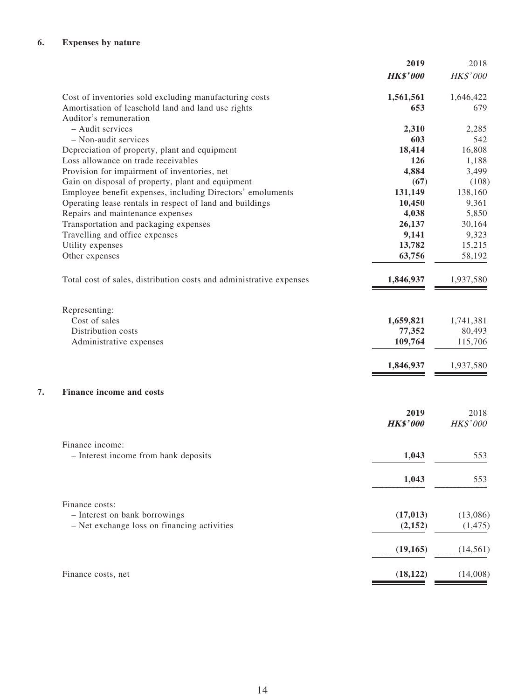|                                                                     | 2019            | 2018            |
|---------------------------------------------------------------------|-----------------|-----------------|
|                                                                     | <b>HK\$'000</b> | <b>HK\$'000</b> |
| Cost of inventories sold excluding manufacturing costs              | 1,561,561       | 1,646,422       |
| Amortisation of leasehold land and land use rights                  | 653             | 679             |
| Auditor's remuneration                                              |                 |                 |
| - Audit services                                                    | 2,310           | 2,285           |
| - Non-audit services                                                | 603             | 542             |
| Depreciation of property, plant and equipment                       | 18,414          | 16,808          |
| Loss allowance on trade receivables                                 | 126             | 1,188           |
| Provision for impairment of inventories, net                        | 4,884           | 3,499           |
| Gain on disposal of property, plant and equipment                   | (67)            | (108)           |
| Employee benefit expenses, including Directors' emoluments          | 131,149         | 138,160         |
| Operating lease rentals in respect of land and buildings            | 10,450          | 9,361           |
| Repairs and maintenance expenses                                    | 4,038           | 5,850           |
| Transportation and packaging expenses                               | 26,137          | 30,164          |
| Travelling and office expenses                                      | 9,141           | 9,323           |
| Utility expenses                                                    | 13,782          | 15,215          |
| Other expenses                                                      | 63,756          | 58,192          |
| Total cost of sales, distribution costs and administrative expenses | 1,846,937       | 1,937,580       |
| Representing:                                                       |                 |                 |
| Cost of sales                                                       | 1,659,821       | 1,741,381       |
| Distribution costs                                                  | 77,352          | 80,493          |
| Administrative expenses                                             | 109,764         | 115,706         |
|                                                                     | 1,846,937       | 1,937,580       |
| <b>Finance income and costs</b>                                     |                 |                 |
|                                                                     | 2019            | 2018            |
|                                                                     | <b>HK\$'000</b> | HK\$'000        |
| Finance income:                                                     |                 |                 |
| - Interest income from bank deposits                                | 1,043           | 553             |
|                                                                     | 1,043           | 553             |
| Finance costs:                                                      |                 |                 |
| - Interest on bank borrowings                                       | (17, 013)       | (13,086)        |
| - Net exchange loss on financing activities                         | (2, 152)        | (1, 475)        |
|                                                                     | (19, 165)       | (14, 561)       |
| Finance costs, net                                                  | (18, 122)       | (14,008)        |
|                                                                     |                 |                 |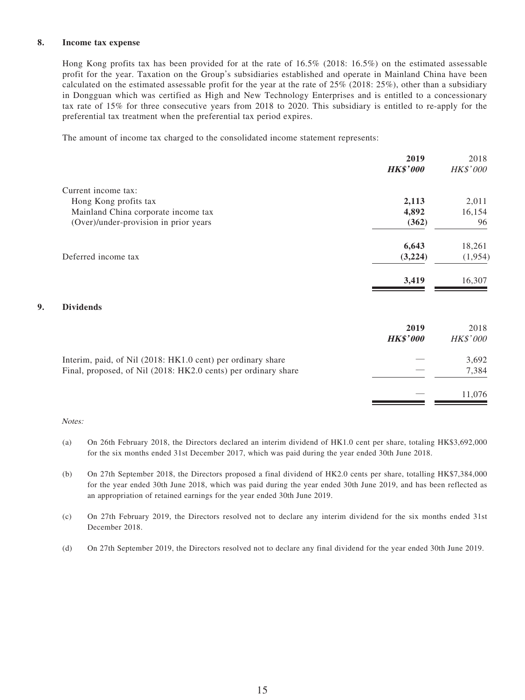### **8. Income tax expense**

Hong Kong profits tax has been provided for at the rate of 16.5% (2018: 16.5%) on the estimated assessable profit for the year. Taxation on the Group's subsidiaries established and operate in Mainland China have been calculated on the estimated assessable profit for the year at the rate of 25% (2018: 25%), other than a subsidiary in Dongguan which was certified as High and New Technology Enterprises and is entitled to a concessionary tax rate of 15% for three consecutive years from 2018 to 2020. This subsidiary is entitled to re-apply for the preferential tax treatment when the preferential tax period expires.

The amount of income tax charged to the consolidated income statement represents:

|                                                                | 2019<br><b>HK\$'000</b> | 2018<br><b>HK\$'000</b> |
|----------------------------------------------------------------|-------------------------|-------------------------|
|                                                                |                         |                         |
| Current income tax:                                            |                         |                         |
| Hong Kong profits tax                                          | 2,113                   | 2,011                   |
| Mainland China corporate income tax                            | 4,892                   | 16,154                  |
| (Over)/under-provision in prior years                          | (362)                   | 96                      |
|                                                                | 6,643                   | 18,261                  |
| Deferred income tax                                            | (3,224)                 | (1,954)                 |
|                                                                | 3,419                   | 16,307                  |
| <b>Dividends</b>                                               |                         |                         |
|                                                                | 2019                    | 2018                    |
|                                                                | <b>HK\$'000</b>         | HK\$'000                |
| Interim, paid, of Nil (2018: HK1.0 cent) per ordinary share    |                         | 3,692                   |
| Final, proposed, of Nil (2018: HK2.0 cents) per ordinary share |                         | 7,384                   |
|                                                                |                         | 11,076                  |

#### Notes:

**9. Dividends**

- (a) On 26th February 2018, the Directors declared an interim dividend of HK1.0 cent per share, totaling HK\$3,692,000 for the six months ended 31st December 2017, which was paid during the year ended 30th June 2018.
- (b) On 27th September 2018, the Directors proposed a final dividend of HK2.0 cents per share, totalling HK\$7,384,000 for the year ended 30th June 2018, which was paid during the year ended 30th June 2019, and has been reflected as an appropriation of retained earnings for the year ended 30th June 2019.
- (c) On 27th February 2019, the Directors resolved not to declare any interim dividend for the six months ended 31st December 2018.
- (d) On 27th September 2019, the Directors resolved not to declare any final dividend for the year ended 30th June 2019.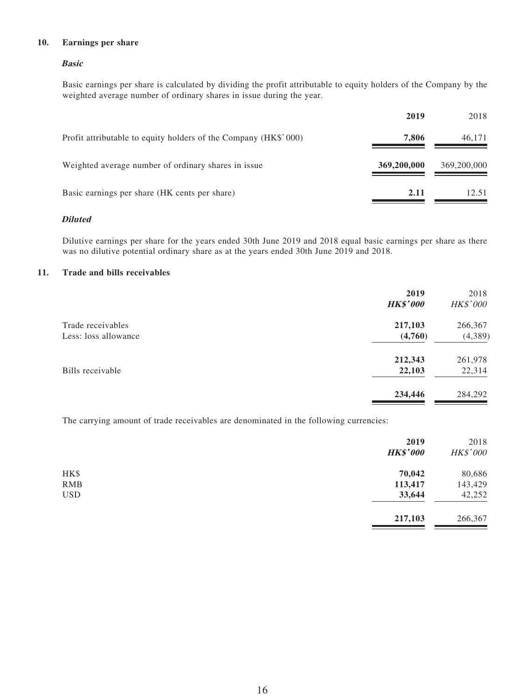### **10. Earnings per share**

### **Basic**

Basic earnings per share is calculated by dividing the profit attributable to equity holders of the Company by the weighted average number of ordinary shares in issue during the year.

|                                                                 | 2019        | 2018        |
|-----------------------------------------------------------------|-------------|-------------|
| Profit attributable to equity holders of the Company (HK\$'000) | 7,806       | 46,171      |
| Weighted average number of ordinary shares in issue             | 369,200,000 | 369,200,000 |
| Basic earnings per share (HK cents per share)                   | 2.11        | 12.51       |

### **Diluted**

Dilutive earnings per share for the years ended 30th June 2019 and 2018 equal basic earnings per share as there was no dilutive potential ordinary share as at the years ended 30th June 2019 and 2018.

### **11. Trade and bills receivables**

|                      | 2019<br><b>HK\$'000</b> | 2018<br><b>HK\$'000</b> |
|----------------------|-------------------------|-------------------------|
| Trade receivables    | 217,103                 | 266,367                 |
| Less: loss allowance | (4,760)                 | (4,389)                 |
|                      | 212,343                 | 261,978                 |
| Bills receivable     | 22,103                  | 22,314                  |
|                      | 234,446                 | 284,292                 |

The carrying amount of trade receivables are denominated in the following currencies:

|            | 2019<br><b>HK\$'000</b> | 2018<br><b>HK\$'000</b> |
|------------|-------------------------|-------------------------|
| HK\$       | 70,042                  | 80,686                  |
| <b>RMB</b> | 113,417                 | 143,429                 |
| <b>USD</b> | 33,644                  | 42,252                  |
|            | 217,103                 | 266,367                 |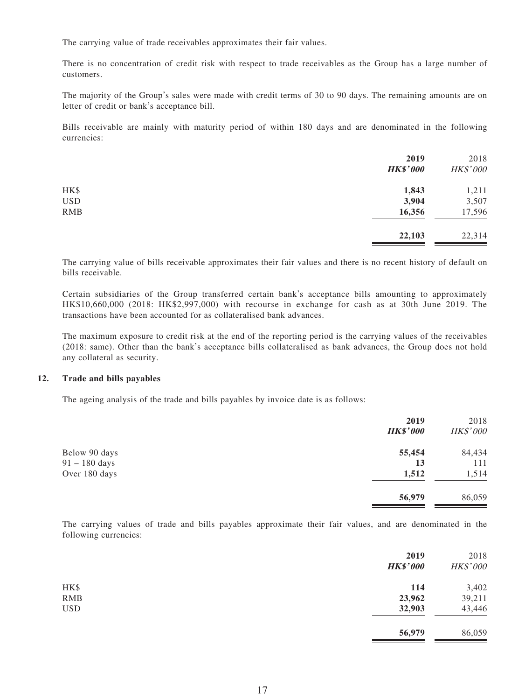The carrying value of trade receivables approximates their fair values.

There is no concentration of credit risk with respect to trade receivables as the Group has a large number of customers.

The majority of the Group's sales were made with credit terms of 30 to 90 days. The remaining amounts are on letter of credit or bank's acceptance bill.

Bills receivable are mainly with maturity period of within 180 days and are denominated in the following currencies:

|            | 2019            | 2018     |
|------------|-----------------|----------|
|            | <b>HK\$'000</b> | HK\$'000 |
| HK\$       | 1,843           | 1,211    |
| <b>USD</b> | 3,904           | 3,507    |
| <b>RMB</b> | 16,356          | 17,596   |
|            | 22,103          | 22,314   |

The carrying value of bills receivable approximates their fair values and there is no recent history of default on bills receivable.

Certain subsidiaries of the Group transferred certain bank's acceptance bills amounting to approximately HK\$10,660,000 (2018: HK\$2,997,000) with recourse in exchange for cash as at 30th June 2019. The transactions have been accounted for as collateralised bank advances.

The maximum exposure to credit risk at the end of the reporting period is the carrying values of the receivables (2018: same). Other than the bank's acceptance bills collateralised as bank advances, the Group does not hold any collateral as security.

#### **12. Trade and bills payables**

The ageing analysis of the trade and bills payables by invoice date is as follows:

|                 | 2019<br><b>HK\$'000</b> | 2018<br><b>HK\$'000</b> |
|-----------------|-------------------------|-------------------------|
| Below 90 days   | 55,454                  | 84,434                  |
| $91 - 180$ days | 13                      | 111                     |
| Over 180 days   | 1,512                   | 1,514                   |
|                 | 56,979                  | 86,059                  |

The carrying values of trade and bills payables approximate their fair values, and are denominated in the following currencies:

|            | 2019<br><b>HK\$'000</b> | 2018<br>HK\$'000 |
|------------|-------------------------|------------------|
| HK\$       | 114                     | 3,402            |
| <b>RMB</b> | 23,962                  | 39,211           |
| <b>USD</b> | 32,903                  | 43,446           |
|            | 56,979                  | 86,059           |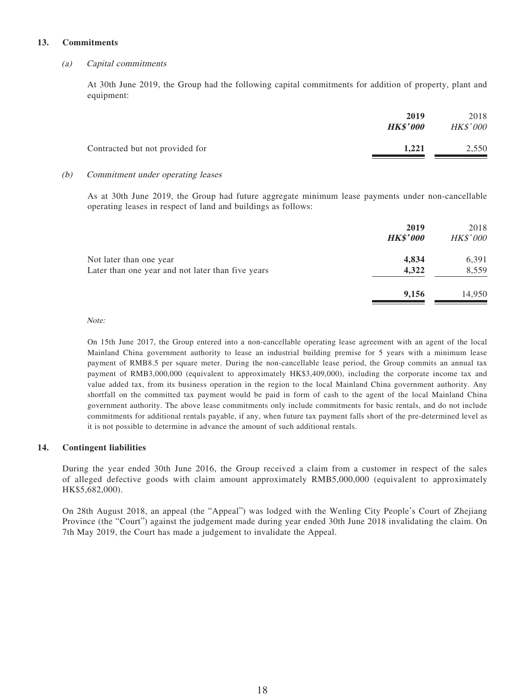### **13. Commitments**

### (a) Capital commitments

At 30th June 2019, the Group had the following capital commitments for addition of property, plant and equipment:

|                                 | 2019<br><b>HK\$'000</b> | 2018<br><b>HK\$'000</b> |
|---------------------------------|-------------------------|-------------------------|
| Contracted but not provided for | 1.221                   | 2,550                   |

#### (b) Commitment under operating leases

As at 30th June 2019, the Group had future aggregate minimum lease payments under non-cancellable operating leases in respect of land and buildings as follows:

|                                                   | 2019<br><b>HK\$'000</b> | 2018<br><b>HK\$'000</b> |
|---------------------------------------------------|-------------------------|-------------------------|
| Not later than one year                           | 4,834                   | 6,391                   |
| Later than one year and not later than five years | 4,322                   | 8,559                   |
|                                                   | 9,156                   | 14,950                  |

Note:

On 15th June 2017, the Group entered into a non-cancellable operating lease agreement with an agent of the local Mainland China government authority to lease an industrial building premise for 5 years with a minimum lease payment of RMB8.5 per square meter. During the non-cancellable lease period, the Group commits an annual tax payment of RMB3,000,000 (equivalent to approximately HK\$3,409,000), including the corporate income tax and value added tax, from its business operation in the region to the local Mainland China government authority. Any shortfall on the committed tax payment would be paid in form of cash to the agent of the local Mainland China government authority. The above lease commitments only include commitments for basic rentals, and do not include commitments for additional rentals payable, if any, when future tax payment falls short of the pre-determined level as it is not possible to determine in advance the amount of such additional rentals.

### **14. Contingent liabilities**

During the year ended 30th June 2016, the Group received a claim from a customer in respect of the sales of alleged defective goods with claim amount approximately RMB5,000,000 (equivalent to approximately HK\$5,682,000).

On 28th August 2018, an appeal (the "Appeal") was lodged with the Wenling City People's Court of Zhejiang Province (the "Court") against the judgement made during year ended 30th June 2018 invalidating the claim. On 7th May 2019, the Court has made a judgement to invalidate the Appeal.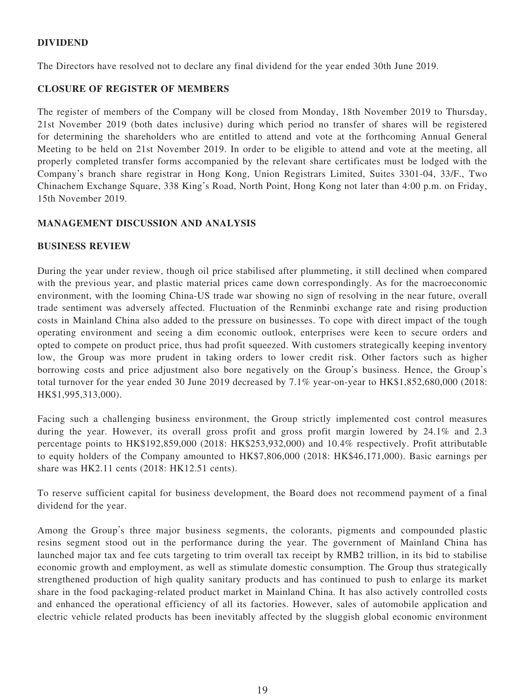# **DIVIDEND**

The Directors have resolved not to declare any final dividend for the year ended 30th June 2019.

### **CLOSURE OF REGISTER OF MEMBERS**

The register of members of the Company will be closed from Monday, 18th November 2019 to Thursday, 21st November 2019 (both dates inclusive) during which period no transfer of shares will be registered for determining the shareholders who are entitled to attend and vote at the forthcoming Annual General Meeting to be held on 21st November 2019. In order to be eligible to attend and vote at the meeting, all properly completed transfer forms accompanied by the relevant share certificates must be lodged with the Company's branch share registrar in Hong Kong, Union Registrars Limited, Suites 3301-04, 33/F., Two Chinachem Exchange Square, 338 King's Road, North Point, Hong Kong not later than 4:00 p.m. on Friday, 15th November 2019.

# **MANAGEMENT DISCUSSION AND ANALYSIS**

### **BUSINESS REVIEW**

During the year under review, though oil price stabilised after plummeting, it still declined when compared with the previous year, and plastic material prices came down correspondingly. As for the macroeconomic environment, with the looming China-US trade war showing no sign of resolving in the near future, overall trade sentiment was adversely affected. Fluctuation of the Renminbi exchange rate and rising production costs in Mainland China also added to the pressure on businesses. To cope with direct impact of the tough operating environment and seeing a dim economic outlook, enterprises were keen to secure orders and opted to compete on product price, thus had profit squeezed. With customers strategically keeping inventory low, the Group was more prudent in taking orders to lower credit risk. Other factors such as higher borrowing costs and price adjustment also bore negatively on the Group's business. Hence, the Group's total turnover for the year ended 30 June 2019 decreased by 7.1% year-on-year to HK\$1,852,680,000 (2018: HK\$1,995,313,000).

Facing such a challenging business environment, the Group strictly implemented cost control measures during the year. However, its overall gross profit and gross profit margin lowered by 24.1% and 2.3 percentage points to HK\$192,859,000 (2018: HK\$253,932,000) and 10.4% respectively. Profit attributable to equity holders of the Company amounted to HK\$7,806,000 (2018: HK\$46,171,000). Basic earnings per share was HK2.11 cents (2018: HK12.51 cents).

To reserve sufficient capital for business development, the Board does not recommend payment of a final dividend for the year.

Among the Group's three major business segments, the colorants, pigments and compounded plastic resins segment stood out in the performance during the year. The government of Mainland China has launched major tax and fee cuts targeting to trim overall tax receipt by RMB2 trillion, in its bid to stabilise economic growth and employment, as well as stimulate domestic consumption. The Group thus strategically strengthened production of high quality sanitary products and has continued to push to enlarge its market share in the food packaging-related product market in Mainland China. It has also actively controlled costs and enhanced the operational efficiency of all its factories. However, sales of automobile application and electric vehicle related products has been inevitably affected by the sluggish global economic environment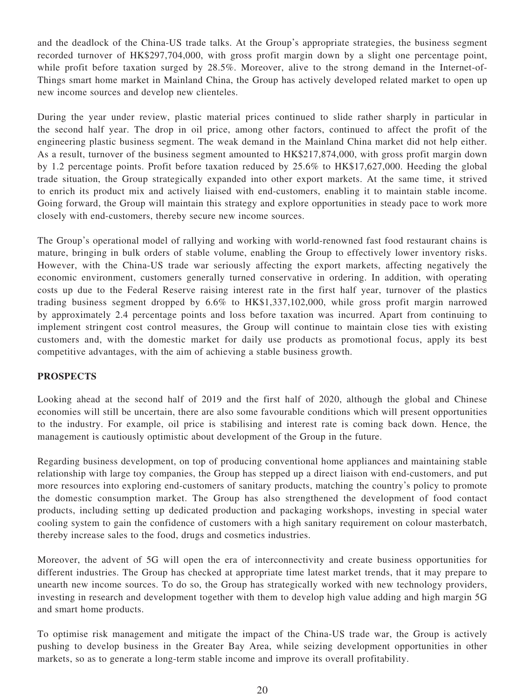and the deadlock of the China-US trade talks. At the Group's appropriate strategies, the business segment recorded turnover of HK\$297,704,000, with gross profit margin down by a slight one percentage point, while profit before taxation surged by 28.5%. Moreover, alive to the strong demand in the Internet-of-Things smart home market in Mainland China, the Group has actively developed related market to open up new income sources and develop new clienteles.

During the year under review, plastic material prices continued to slide rather sharply in particular in the second half year. The drop in oil price, among other factors, continued to affect the profit of the engineering plastic business segment. The weak demand in the Mainland China market did not help either. As a result, turnover of the business segment amounted to HK\$217,874,000, with gross profit margin down by 1.2 percentage points. Profit before taxation reduced by 25.6% to HK\$17,627,000. Heeding the global trade situation, the Group strategically expanded into other export markets. At the same time, it strived to enrich its product mix and actively liaised with end-customers, enabling it to maintain stable income. Going forward, the Group will maintain this strategy and explore opportunities in steady pace to work more closely with end-customers, thereby secure new income sources.

The Group's operational model of rallying and working with world-renowned fast food restaurant chains is mature, bringing in bulk orders of stable volume, enabling the Group to effectively lower inventory risks. However, with the China-US trade war seriously affecting the export markets, affecting negatively the economic environment, customers generally turned conservative in ordering. In addition, with operating costs up due to the Federal Reserve raising interest rate in the first half year, turnover of the plastics trading business segment dropped by 6.6% to HK\$1,337,102,000, while gross profit margin narrowed by approximately 2.4 percentage points and loss before taxation was incurred. Apart from continuing to implement stringent cost control measures, the Group will continue to maintain close ties with existing customers and, with the domestic market for daily use products as promotional focus, apply its best competitive advantages, with the aim of achieving a stable business growth.

### **PROSPECTS**

Looking ahead at the second half of 2019 and the first half of 2020, although the global and Chinese economies will still be uncertain, there are also some favourable conditions which will present opportunities to the industry. For example, oil price is stabilising and interest rate is coming back down. Hence, the management is cautiously optimistic about development of the Group in the future.

Regarding business development, on top of producing conventional home appliances and maintaining stable relationship with large toy companies, the Group has stepped up a direct liaison with end-customers, and put more resources into exploring end-customers of sanitary products, matching the country's policy to promote the domestic consumption market. The Group has also strengthened the development of food contact products, including setting up dedicated production and packaging workshops, investing in special water cooling system to gain the confidence of customers with a high sanitary requirement on colour masterbatch, thereby increase sales to the food, drugs and cosmetics industries.

Moreover, the advent of 5G will open the era of interconnectivity and create business opportunities for different industries. The Group has checked at appropriate time latest market trends, that it may prepare to unearth new income sources. To do so, the Group has strategically worked with new technology providers, investing in research and development together with them to develop high value adding and high margin 5G and smart home products.

To optimise risk management and mitigate the impact of the China-US trade war, the Group is actively pushing to develop business in the Greater Bay Area, while seizing development opportunities in other markets, so as to generate a long-term stable income and improve its overall profitability.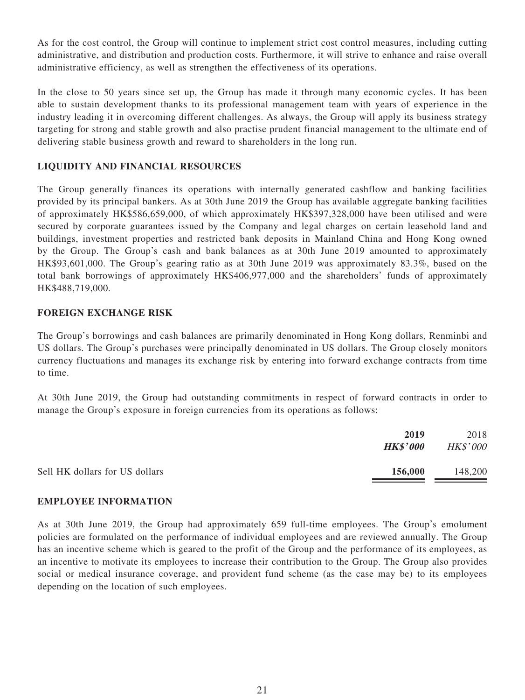As for the cost control, the Group will continue to implement strict cost control measures, including cutting administrative, and distribution and production costs. Furthermore, it will strive to enhance and raise overall administrative efficiency, as well as strengthen the effectiveness of its operations.

In the close to 50 years since set up, the Group has made it through many economic cycles. It has been able to sustain development thanks to its professional management team with years of experience in the industry leading it in overcoming different challenges. As always, the Group will apply its business strategy targeting for strong and stable growth and also practise prudent financial management to the ultimate end of delivering stable business growth and reward to shareholders in the long run.

# **LIQUIDITY AND FINANCIAL RESOURCES**

The Group generally finances its operations with internally generated cashflow and banking facilities provided by its principal bankers. As at 30th June 2019 the Group has available aggregate banking facilities of approximately HK\$586,659,000, of which approximately HK\$397,328,000 have been utilised and were secured by corporate guarantees issued by the Company and legal charges on certain leasehold land and buildings, investment properties and restricted bank deposits in Mainland China and Hong Kong owned by the Group. The Group's cash and bank balances as at 30th June 2019 amounted to approximately HK\$93,601,000. The Group's gearing ratio as at 30th June 2019 was approximately 83.3%, based on the total bank borrowings of approximately HK\$406,977,000 and the shareholders' funds of approximately HK\$488,719,000.

# **FOREIGN EXCHANGE RISK**

The Group's borrowings and cash balances are primarily denominated in Hong Kong dollars, Renminbi and US dollars. The Group's purchases were principally denominated in US dollars. The Group closely monitors currency fluctuations and manages its exchange risk by entering into forward exchange contracts from time to time.

At 30th June 2019, the Group had outstanding commitments in respect of forward contracts in order to manage the Group's exposure in foreign currencies from its operations as follows:

| 2019                                      | 2018            |
|-------------------------------------------|-----------------|
| <b>HK\$'000</b>                           | <b>HK\$'000</b> |
| Sell HK dollars for US dollars<br>156,000 | 148,200         |

### **EMPLOYEE INFORMATION**

As at 30th June 2019, the Group had approximately 659 full-time employees. The Group's emolument policies are formulated on the performance of individual employees and are reviewed annually. The Group has an incentive scheme which is geared to the profit of the Group and the performance of its employees, as an incentive to motivate its employees to increase their contribution to the Group. The Group also provides social or medical insurance coverage, and provident fund scheme (as the case may be) to its employees depending on the location of such employees.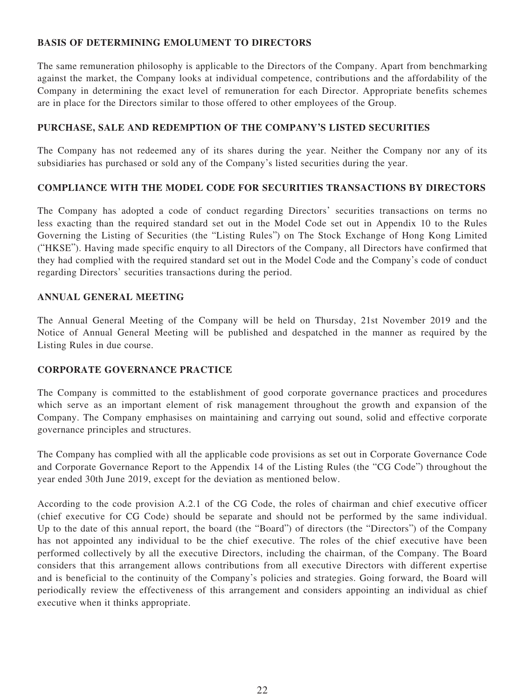# **BASIS OF DETERMINING EMOLUMENT TO DIRECTORS**

The same remuneration philosophy is applicable to the Directors of the Company. Apart from benchmarking against the market, the Company looks at individual competence, contributions and the affordability of the Company in determining the exact level of remuneration for each Director. Appropriate benefits schemes are in place for the Directors similar to those offered to other employees of the Group.

# **PURCHASE, SALE AND REDEMPTION OF THE COMPANY'S LISTED SECURITIES**

The Company has not redeemed any of its shares during the year. Neither the Company nor any of its subsidiaries has purchased or sold any of the Company's listed securities during the year.

# **COMPLIANCE WITH THE MODEL CODE FOR SECURITIES TRANSACTIONS BY DIRECTORS**

The Company has adopted a code of conduct regarding Directors' securities transactions on terms no less exacting than the required standard set out in the Model Code set out in Appendix 10 to the Rules Governing the Listing of Securities (the "Listing Rules") on The Stock Exchange of Hong Kong Limited ("HKSE"). Having made specific enquiry to all Directors of the Company, all Directors have confirmed that they had complied with the required standard set out in the Model Code and the Company's code of conduct regarding Directors' securities transactions during the period.

### **ANNUAL GENERAL MEETING**

The Annual General Meeting of the Company will be held on Thursday, 21st November 2019 and the Notice of Annual General Meeting will be published and despatched in the manner as required by the Listing Rules in due course.

### **CORPORATE GOVERNANCE PRACTICE**

The Company is committed to the establishment of good corporate governance practices and procedures which serve as an important element of risk management throughout the growth and expansion of the Company. The Company emphasises on maintaining and carrying out sound, solid and effective corporate governance principles and structures.

The Company has complied with all the applicable code provisions as set out in Corporate Governance Code and Corporate Governance Report to the Appendix 14 of the Listing Rules (the "CG Code") throughout the year ended 30th June 2019, except for the deviation as mentioned below.

According to the code provision A.2.1 of the CG Code, the roles of chairman and chief executive officer (chief executive for CG Code) should be separate and should not be performed by the same individual. Up to the date of this annual report, the board (the "Board") of directors (the "Directors") of the Company has not appointed any individual to be the chief executive. The roles of the chief executive have been performed collectively by all the executive Directors, including the chairman, of the Company. The Board considers that this arrangement allows contributions from all executive Directors with different expertise and is beneficial to the continuity of the Company's policies and strategies. Going forward, the Board will periodically review the effectiveness of this arrangement and considers appointing an individual as chief executive when it thinks appropriate.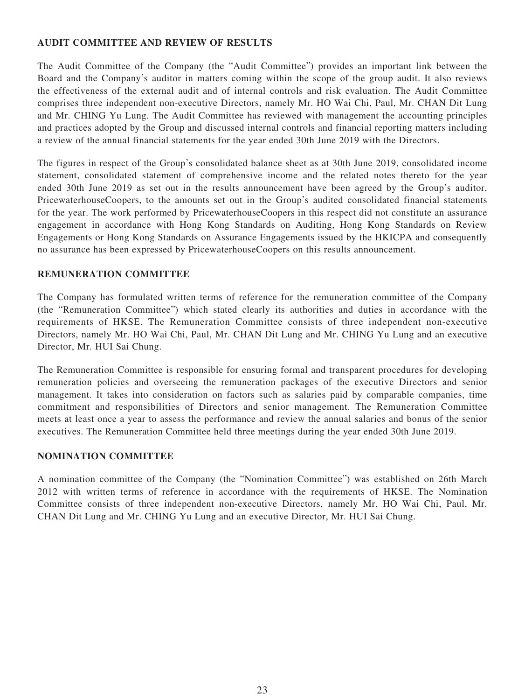# **AUDIT COMMITTEE AND REVIEW OF RESULTS**

The Audit Committee of the Company (the "Audit Committee") provides an important link between the Board and the Company's auditor in matters coming within the scope of the group audit. It also reviews the effectiveness of the external audit and of internal controls and risk evaluation. The Audit Committee comprises three independent non-executive Directors, namely Mr. HO Wai Chi, Paul, Mr. CHAN Dit Lung and Mr. CHING Yu Lung. The Audit Committee has reviewed with management the accounting principles and practices adopted by the Group and discussed internal controls and financial reporting matters including a review of the annual financial statements for the year ended 30th June 2019 with the Directors.

The figures in respect of the Group's consolidated balance sheet as at 30th June 2019, consolidated income statement, consolidated statement of comprehensive income and the related notes thereto for the year ended 30th June 2019 as set out in the results announcement have been agreed by the Group's auditor, PricewaterhouseCoopers, to the amounts set out in the Group's audited consolidated financial statements for the year. The work performed by PricewaterhouseCoopers in this respect did not constitute an assurance engagement in accordance with Hong Kong Standards on Auditing, Hong Kong Standards on Review Engagements or Hong Kong Standards on Assurance Engagements issued by the HKICPA and consequently no assurance has been expressed by PricewaterhouseCoopers on this results announcement.

# **REMUNERATION COMMITTEE**

The Company has formulated written terms of reference for the remuneration committee of the Company (the "Remuneration Committee") which stated clearly its authorities and duties in accordance with the requirements of HKSE. The Remuneration Committee consists of three independent non-executive Directors, namely Mr. HO Wai Chi, Paul, Mr. CHAN Dit Lung and Mr. CHING Yu Lung and an executive Director, Mr. HUI Sai Chung.

The Remuneration Committee is responsible for ensuring formal and transparent procedures for developing remuneration policies and overseeing the remuneration packages of the executive Directors and senior management. It takes into consideration on factors such as salaries paid by comparable companies, time commitment and responsibilities of Directors and senior management. The Remuneration Committee meets at least once a year to assess the performance and review the annual salaries and bonus of the senior executives. The Remuneration Committee held three meetings during the year ended 30th June 2019.

### **NOMINATION COMMITTEE**

A nomination committee of the Company (the "Nomination Committee") was established on 26th March 2012 with written terms of reference in accordance with the requirements of HKSE. The Nomination Committee consists of three independent non-executive Directors, namely Mr. HO Wai Chi, Paul, Mr. CHAN Dit Lung and Mr. CHING Yu Lung and an executive Director, Mr. HUI Sai Chung.